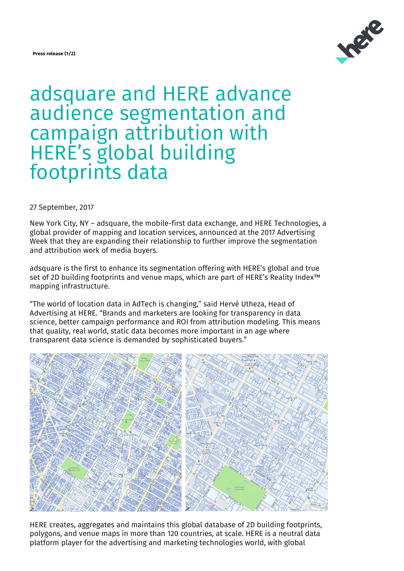### **Press release (1/2)**



# adsquare and HERE advance audience segmentation and campaign attribution with HERE's global building footprints data

27 September, 2017

New York City, NY – adsquare, the mobile-first data exchange, and HERE Technologies, a global provider of mapping and location services, announced at the 2017 Advertising Week that they are expanding their relationship to further improve the segmentation and attribution work of media buyers.

adsquare is the first to enhance its segmentation offering with HERE's global and true set of 2D building footprints and venue maps, which are part of HERE's Reality Index™ mapping infrastructure.

"The world of location data in AdTech is changing," said Hervé Utheza, Head of Advertising at HERE. "Brands and marketers are looking for transparency in data science, better campaign performance and ROI from attribution modeling. This means that quality, real world, static data becomes more important in an age where transparent data science is demanded by sophisticated buyers."



HERE creates, aggregates and maintains this global database of 2D building footprints, polygons, and venue maps in more than 120 countries, at scale. HERE is a neutral data platform player for the advertising and marketing technologies world, with global